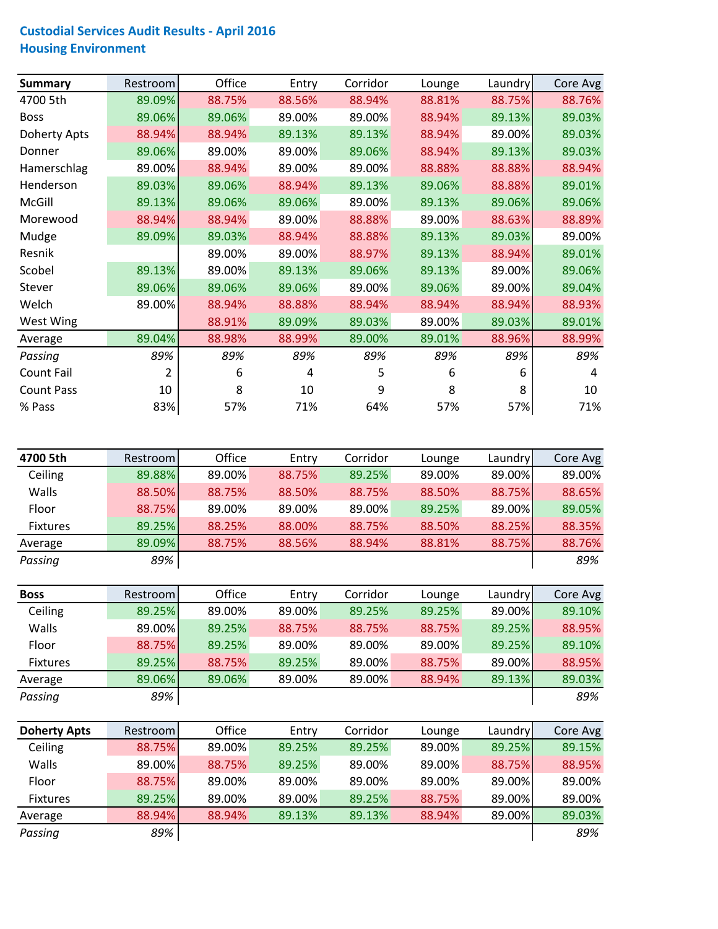## **Custodial Services Audit Results ‐ April 2016 Housing Environment**

| <b>Summary</b>      | Restroom | Office | Entry  | Corridor | Lounge | Laundry | Core Avg |
|---------------------|----------|--------|--------|----------|--------|---------|----------|
| 4700 5th            | 89.09%   | 88.75% | 88.56% | 88.94%   | 88.81% | 88.75%  | 88.76%   |
| <b>Boss</b>         | 89.06%   | 89.06% | 89.00% | 89.00%   | 88.94% | 89.13%  | 89.03%   |
| <b>Doherty Apts</b> | 88.94%   | 88.94% | 89.13% | 89.13%   | 88.94% | 89.00%  | 89.03%   |
| Donner              | 89.06%   | 89.00% | 89.00% | 89.06%   | 88.94% | 89.13%  | 89.03%   |
| Hamerschlag         | 89.00%   | 88.94% | 89.00% | 89.00%   | 88.88% | 88.88%  | 88.94%   |
| Henderson           | 89.03%   | 89.06% | 88.94% | 89.13%   | 89.06% | 88.88%  | 89.01%   |
| McGill              | 89.13%   | 89.06% | 89.06% | 89.00%   | 89.13% | 89.06%  | 89.06%   |
| Morewood            | 88.94%   | 88.94% | 89.00% | 88.88%   | 89.00% | 88.63%  | 88.89%   |
| Mudge               | 89.09%   | 89.03% | 88.94% | 88.88%   | 89.13% | 89.03%  | 89.00%   |
| Resnik              |          | 89.00% | 89.00% | 88.97%   | 89.13% | 88.94%  | 89.01%   |
| Scobel              | 89.13%   | 89.00% | 89.13% | 89.06%   | 89.13% | 89.00%  | 89.06%   |
| Stever              | 89.06%   | 89.06% | 89.06% | 89.00%   | 89.06% | 89.00%  | 89.04%   |
| Welch               | 89.00%   | 88.94% | 88.88% | 88.94%   | 88.94% | 88.94%  | 88.93%   |
| West Wing           |          | 88.91% | 89.09% | 89.03%   | 89.00% | 89.03%  | 89.01%   |
| Average             | 89.04%   | 88.98% | 88.99% | 89.00%   | 89.01% | 88.96%  | 88.99%   |
| Passing             | 89%      | 89%    | 89%    | 89%      | 89%    | 89%     | 89%      |
| Count Fail          | 2        | 6      | 4      | 5        | 6      | 6       | 4        |
| <b>Count Pass</b>   | 10       | 8      | 10     | 9        | 8      | 8       | 10       |
| % Pass              | 83%      | 57%    | 71%    | 64%      | 57%    | 57%     | 71%      |

| 4700 5th        | Restrooml | Office | Entry  | Corridor | Lounge | Laundry | Core Avg |
|-----------------|-----------|--------|--------|----------|--------|---------|----------|
| Ceiling         | 89.88%    | 89.00% | 88.75% | 89.25%   | 89.00% | 89.00%  | 89.00%   |
| Walls           | 88.50%    | 88.75% | 88.50% | 88.75%   | 88.50% | 88.75%  | 88.65%   |
| Floor           | 88.75%    | 89.00% | 89.00% | 89.00%   | 89.25% | 89.00%I | 89.05%   |
| <b>Fixtures</b> | 89.25%    | 88.25% | 88.00% | 88.75%   | 88.50% | 88.25%  | 88.35%   |
| Average         | 89.09%    | 88.75% | 88.56% | 88.94%   | 88.81% | 88.75%  | 88.76%   |
| Passing         | 89%       |        |        |          |        |         | 89%      |

| <b>Boss</b>     | Restrooml | Office | Entry  | Corridor | Lounge | Laundry | Core Avg |
|-----------------|-----------|--------|--------|----------|--------|---------|----------|
| Ceiling         | 89.25%    | 89.00% | 89.00% | 89.25%   | 89.25% | 89.00%  | 89.10%   |
| Walls           | 89.00%    | 89.25% | 88.75% | 88.75%   | 88.75% | 89.25%  | 88.95%   |
| Floor           | 88.75%    | 89.25% | 89.00% | 89.00%   | 89.00% | 89.25%  | 89.10%   |
| <b>Fixtures</b> | 89.25%    | 88.75% | 89.25% | 89.00%   | 88.75% | 89.00%  | 88.95%   |
| Average         | 89.06%    | 89.06% | 89.00% | 89.00%   | 88.94% | 89.13%  | 89.03%   |
| Passing         | 89%       |        |        |          |        |         | 89%      |

| <b>Doherty Apts</b> | Restrooml | Office | Entry  | Corridor | Lounge | Laundry | Core Avg |
|---------------------|-----------|--------|--------|----------|--------|---------|----------|
| Ceiling             | 88.75%    | 89.00% | 89.25% | 89.25%   | 89.00% | 89.25%  | 89.15%   |
| Walls               | 89.00%    | 88.75% | 89.25% | 89.00%   | 89.00% | 88.75%  | 88.95%   |
| Floor               | 88.75%    | 89.00% | 89.00% | 89.00%   | 89.00% | 89.00%  | 89.00%   |
| <b>Fixtures</b>     | 89.25%    | 89.00% | 89.00% | 89.25%   | 88.75% | 89.00%  | 89.00%   |
| Average             | 88.94%    | 88.94% | 89.13% | 89.13%   | 88.94% | 89.00%  | 89.03%   |
| Passing             | 89%       |        |        |          |        |         | 89%      |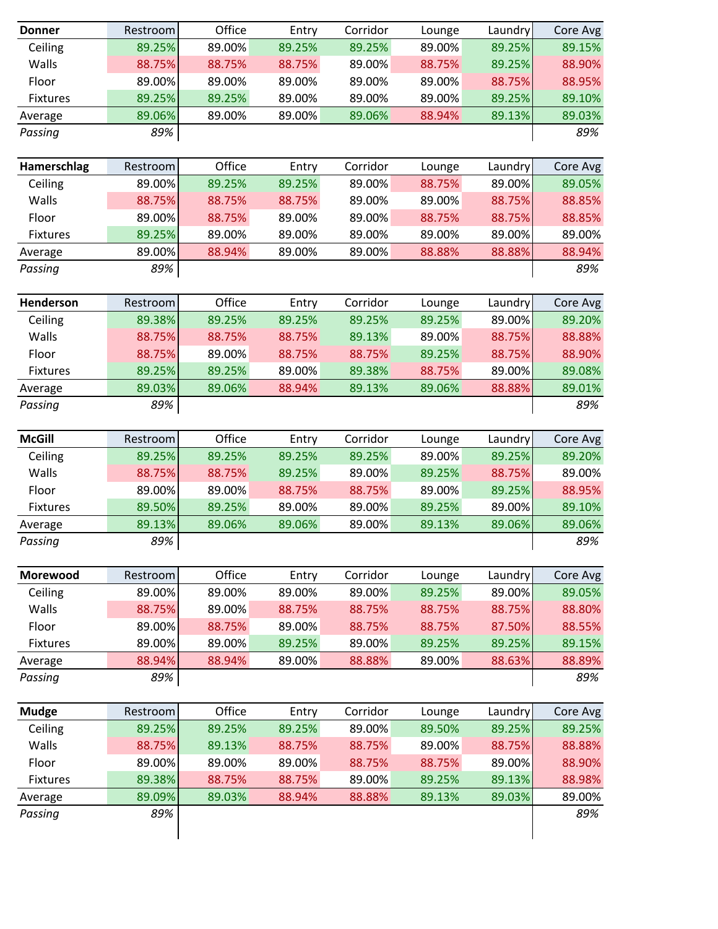| <b>Donner</b>   | Restroom | Office | Entry  | Corridor | Lounge | Laundry | Core Avg      |
|-----------------|----------|--------|--------|----------|--------|---------|---------------|
| Ceiling         | 89.25%   | 89.00% | 89.25% | 89.25%   | 89.00% | 89.25%  | 89.15%        |
| Walls           | 88.75%   | 88.75% | 88.75% | 89.00%   | 88.75% | 89.25%  | 88.90%        |
| Floor           | 89.00%   | 89.00% | 89.00% | 89.00%   | 89.00% | 88.75%  | 88.95%        |
| <b>Fixtures</b> | 89.25%   | 89.25% | 89.00% | 89.00%   | 89.00% | 89.25%  | 89.10%        |
| Average         | 89.06%   | 89.00% | 89.00% | 89.06%   | 88.94% | 89.13%  | 89.03%        |
| Passing         | 89%      |        |        |          |        |         | 89%           |
|                 |          |        |        |          |        |         |               |
| Hamerschlag     | Restroom | Office | Entry  | Corridor | Lounge | Laundry | Core Avg      |
| Ceiling         | 89.00%   | 89.25% | 89.25% | 89.00%   | 88.75% | 89.00%  | 89.05%        |
| Walls           | 88.75%   | 88.75% | 88.75% | 89.00%   | 89.00% | 88.75%  | 88.85%        |
| Floor           | 89.00%   | 88.75% | 89.00% | 89.00%   | 88.75% | 88.75%  | 88.85%        |
| <b>Fixtures</b> | 89.25%   | 89.00% | 89.00% | 89.00%   | 89.00% | 89.00%  | 89.00%        |
| Average         | 89.00%   | 88.94% | 89.00% | 89.00%   | 88.88% | 88.88%  | 88.94%        |
| Passing         | 89%      |        |        |          |        |         | 89%           |
|                 |          |        |        |          |        |         |               |
| Henderson       | Restroom | Office | Entry  | Corridor | Lounge | Laundry | Core Avg      |
| Ceiling         | 89.38%   | 89.25% | 89.25% | 89.25%   | 89.25% | 89.00%  | 89.20%        |
| Walls           | 88.75%   | 88.75% | 88.75% | 89.13%   | 89.00% | 88.75%  | 88.88%        |
| Floor           | 88.75%   | 89.00% | 88.75% | 88.75%   | 89.25% | 88.75%  | 88.90%        |
| <b>Fixtures</b> | 89.25%   | 89.25% | 89.00% | 89.38%   | 88.75% | 89.00%  | 89.08%        |
| Average         | 89.03%   | 89.06% | 88.94% | 89.13%   | 89.06% | 88.88%  | 89.01%        |
| Passing         | 89%      |        |        |          |        |         | 89%           |
|                 |          |        |        |          |        |         |               |
| <b>McGill</b>   | Restroom | Office | Entry  | Corridor | Lounge | Laundry | Core Avg      |
| Ceiling         | 89.25%   | 89.25% | 89.25% | 89.25%   | 89.00% | 89.25%  | 89.20%        |
| Walls           | 88.75%   | 88.75% | 89.25% | 89.00%   | 89.25% | 88.75%  | 89.00%        |
| Floor           | 89.00%   | 89.00% | 88.75% | 88.75%   | 89.00% | 89.25%  | 88.95%        |
| Fixtures        | 89.50%   | 89.25% | 89.00% | 89.00%   | 89.25% | 89.00%  | 89.10%        |
|                 | 89.13%   |        | 89.06% | 89.00%   |        |         |               |
| Average         |          | 89.06% |        |          | 89.13% | 89.06%  | 89.06%<br>89% |
| Passing         | 89%      |        |        |          |        |         |               |
| Morewood        | Restroom | Office | Entry  | Corridor | Lounge | Laundry | Core Avg      |
| Ceiling         | 89.00%   | 89.00% | 89.00% | 89.00%   | 89.25% | 89.00%  | 89.05%        |
| Walls           | 88.75%   | 89.00% | 88.75% | 88.75%   | 88.75% | 88.75%  | 88.80%        |
| Floor           | 89.00%   |        |        |          |        | 87.50%  |               |
|                 |          | 88.75% | 89.00% | 88.75%   | 88.75% |         | 88.55%        |
| <b>Fixtures</b> | 89.00%   | 89.00% | 89.25% | 89.00%   | 89.25% | 89.25%  | 89.15%        |
| Average         | 88.94%   | 88.94% | 89.00% | 88.88%   | 89.00% | 88.63%  | 88.89%        |
| Passing         | 89%      |        |        |          |        |         | 89%           |
|                 |          |        |        |          |        |         |               |
| <b>Mudge</b>    | Restroom | Office | Entry  | Corridor | Lounge | Laundry | Core Avg      |
| Ceiling         | 89.25%   | 89.25% | 89.25% | 89.00%   | 89.50% | 89.25%  | 89.25%        |
| Walls           | 88.75%   | 89.13% | 88.75% | 88.75%   | 89.00% | 88.75%  | 88.88%        |
| Floor           | 89.00%   | 89.00% | 89.00% | 88.75%   | 88.75% | 89.00%  | 88.90%        |
| <b>Fixtures</b> | 89.38%   | 88.75% | 88.75% | 89.00%   | 89.25% | 89.13%  | 88.98%        |
| Average         | 89.09%   | 89.03% | 88.94% | 88.88%   | 89.13% | 89.03%  | 89.00%        |
| Passing         | 89%      |        |        |          |        |         | 89%           |
|                 |          |        |        |          |        |         |               |